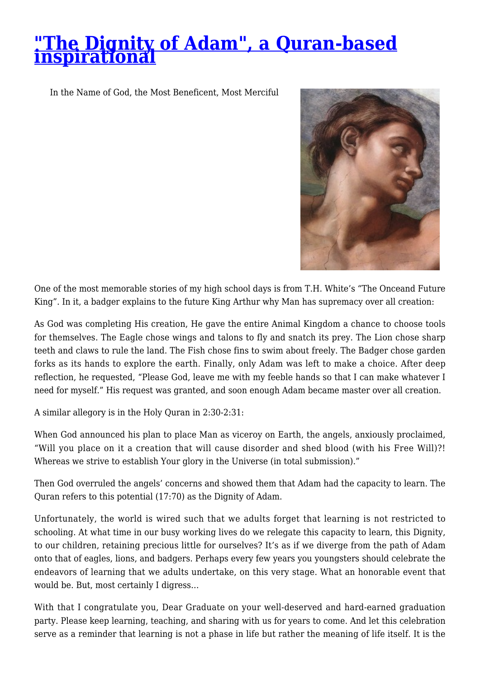## **["The Dignity of Adam", a Quran-based](http://quranaissance.com/the-dignity-of-adam/) [inspirational](http://quranaissance.com/the-dignity-of-adam/)**

In the Name of God, the Most Beneficent, Most Merciful



One of the most memorable stories of my high school days is from T.H. White's "The Onceand Future King". In it, a badger explains to the future King Arthur why Man has supremacy over all creation:

As God was completing His creation, He gave the entire Animal Kingdom a chance to choose tools for themselves. The Eagle chose wings and talons to fly and snatch its prey. The Lion chose sharp teeth and claws to rule the land. The Fish chose fins to swim about freely. The Badger chose garden forks as its hands to explore the earth. Finally, only Adam was left to make a choice. After deep reflection, he requested, "Please God, leave me with my feeble hands so that I can make whatever I need for myself." His request was granted, and soon enough Adam became master over all creation.

A similar allegory is in the Holy Quran in 2:30-2:31:

When God announced his plan to place Man as viceroy on Earth, the angels, anxiously proclaimed, "Will you place on it a creation that will cause disorder and shed blood (with his Free Will)?! Whereas we strive to establish Your glory in the Universe (in total submission)."

Then God overruled the angels' concerns and showed them that Adam had the capacity to learn. The Quran refers to this potential (17:70) as the Dignity of Adam.

Unfortunately, the world is wired such that we adults forget that learning is not restricted to schooling. At what time in our busy working lives do we relegate this capacity to learn, this Dignity, to our children, retaining precious little for ourselves? It's as if we diverge from the path of Adam onto that of eagles, lions, and badgers. Perhaps every few years you youngsters should celebrate the endeavors of learning that we adults undertake, on this very stage. What an honorable event that would be. But, most certainly I digress…

With that I congratulate you, Dear Graduate on your well-deserved and hard-earned graduation party. Please keep learning, teaching, and sharing with us for years to come. And let this celebration serve as a reminder that learning is not a phase in life but rather the meaning of life itself. It is the